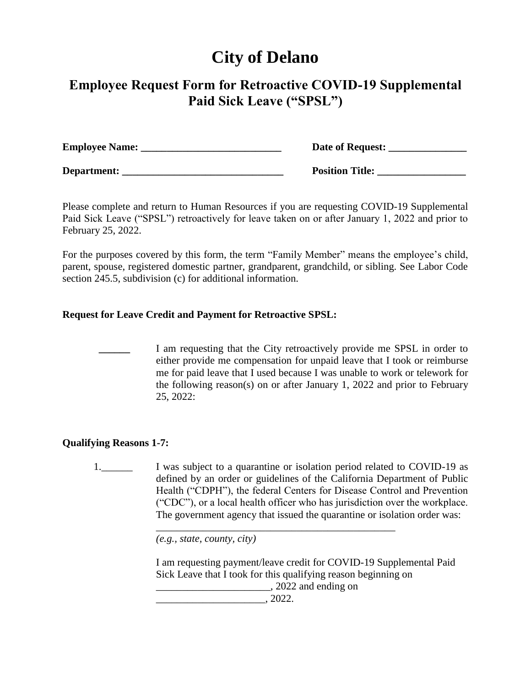# **City of Delano**

# **Employee Request Form for Retroactive COVID-19 Supplemental Paid Sick Leave ("SPSL")**

| <b>Employee Name:</b> | Date of Request:       |
|-----------------------|------------------------|
| Department:           | <b>Position Title:</b> |

Please complete and return to Human Resources if you are requesting COVID-19 Supplemental Paid Sick Leave ("SPSL") retroactively for leave taken on or after January 1, 2022 and prior to February 25, 2022.

For the purposes covered by this form, the term "Family Member" means the employee's child, parent, spouse, registered domestic partner, grandparent, grandchild, or sibling. See Labor Code section 245.5, subdivision (c) for additional information.

## **Request for Leave Credit and Payment for Retroactive SPSL:**



### **Qualifying Reasons 1-7:**

1. I was subject to a quarantine or isolation period related to COVID-19 as defined by an order or guidelines of the California Department of Public Health ("CDPH"), the federal Centers for Disease Control and Prevention ("CDC"), or a local health officer who has jurisdiction over the workplace. The government agency that issued the quarantine or isolation order was:

\_\_\_\_\_\_\_\_\_\_\_\_\_\_\_\_\_\_\_\_\_\_\_\_\_\_\_\_\_\_\_\_\_\_\_\_\_\_\_\_\_\_\_\_\_\_

 *(e.g., state, county, city)*

I am requesting payment/leave credit for COVID-19 Supplemental Paid Sick Leave that I took for this qualifying reason beginning on

 $\frac{1}{2022}$  and ending on

 $, 2022.$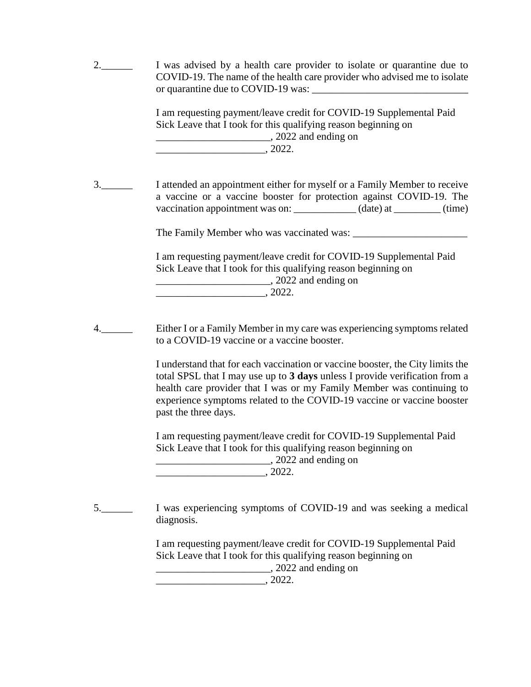| 2. | I was advised by a health care provider to isolate or quarantine due to<br>COVID-19. The name of the health care provider who advised me to isolate                                                                                                                                                                                      |  |
|----|------------------------------------------------------------------------------------------------------------------------------------------------------------------------------------------------------------------------------------------------------------------------------------------------------------------------------------------|--|
|    | I am requesting payment/leave credit for COVID-19 Supplemental Paid<br>Sick Leave that I took for this qualifying reason beginning on<br>2022 and ending on<br>$\overline{\phantom{1}}$ , 2022.                                                                                                                                          |  |
| 3. | I attended an appointment either for myself or a Family Member to receive<br>a vaccine or a vaccine booster for protection against COVID-19. The<br>vaccination appointment was on: ____________(date) at ________(time)                                                                                                                 |  |
|    |                                                                                                                                                                                                                                                                                                                                          |  |
|    | I am requesting payment/leave credit for COVID-19 Supplemental Paid<br>Sick Leave that I took for this qualifying reason beginning on<br>2022 and ending on<br>$\sim$ 2022.                                                                                                                                                              |  |
| 4. | Either I or a Family Member in my care was experiencing symptoms related<br>to a COVID-19 vaccine or a vaccine booster.                                                                                                                                                                                                                  |  |
|    | I understand that for each vaccination or vaccine booster, the City limits the<br>total SPSL that I may use up to 3 days unless I provide verification from a<br>health care provider that I was or my Family Member was continuing to<br>experience symptoms related to the COVID-19 vaccine or vaccine booster<br>past the three days. |  |
|    | I am requesting payment/leave credit for COVID-19 Supplemental Paid<br>Sick Leave that I took for this qualifying reason beginning on<br>_________, 2022 and ending on                                                                                                                                                                   |  |
| 5. | I was experiencing symptoms of COVID-19 and was seeking a medical<br>diagnosis.                                                                                                                                                                                                                                                          |  |
|    | I am requesting payment/leave credit for COVID-19 Supplemental Paid<br>Sick Leave that I took for this qualifying reason beginning on                                                                                                                                                                                                    |  |

\_\_\_\_\_\_\_\_\_\_\_\_\_\_\_\_\_\_\_\_\_\_, 2022 and ending on

 $\frac{1}{2022}$ .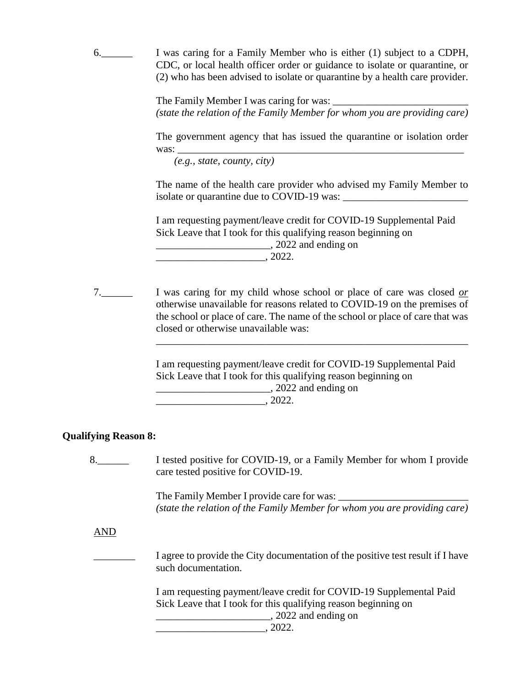6.\_\_\_\_\_\_ I was caring for a Family Member who is either (1) subject to a CDPH, CDC, or local health officer order or guidance to isolate or quarantine, or (2) who has been advised to isolate or quarantine by a health care provider.

> The Family Member I was caring for was: \_\_\_\_\_\_\_\_\_\_\_\_\_\_\_\_\_\_\_\_\_\_\_\_\_\_ *(state the relation of the Family Member for whom you are providing care)*

> The government agency that has issued the quarantine or isolation order was:

*(e.g., state, county, city)*

The name of the health care provider who advised my Family Member to isolate or quarantine due to COVID-19 was:

I am requesting payment/leave credit for COVID-19 Supplemental Paid Sick Leave that I took for this qualifying reason beginning on

\_\_\_\_\_\_\_\_\_\_\_\_\_\_\_\_\_\_\_\_\_\_, 2022 and ending on

 $\overline{\phantom{a}}$  , 2022.

7.\_\_\_\_\_\_ I was caring for my child whose school or place of care was closed *or* otherwise unavailable for reasons related to COVID-19 on the premises of the school or place of care. The name of the school or place of care that was closed or otherwise unavailable was:

> I am requesting payment/leave credit for COVID-19 Supplemental Paid Sick Leave that I took for this qualifying reason beginning on \_\_\_\_\_\_\_\_\_\_\_\_\_\_\_\_\_\_\_\_\_\_, 2022 and ending on

\_\_\_\_\_\_\_\_\_\_\_\_\_\_\_\_\_\_\_\_\_\_\_\_\_\_\_\_\_\_\_\_\_\_\_\_\_\_\_\_\_\_\_\_\_\_\_\_\_\_\_\_\_\_\_\_\_\_\_\_

 $\frac{1}{2022}$ .

### **Qualifying Reason 8:**

8. I tested positive for COVID-19, or a Family Member for whom I provide care tested positive for COVID-19.

> The Family Member I provide care for was: *(state the relation of the Family Member for whom you are providing care)*

AND

I agree to provide the City documentation of the positive test result if I have such documentation.

I am requesting payment/leave credit for COVID-19 Supplemental Paid Sick Leave that I took for this qualifying reason beginning on

 $, 2022$  and ending on

 $, 2022.$